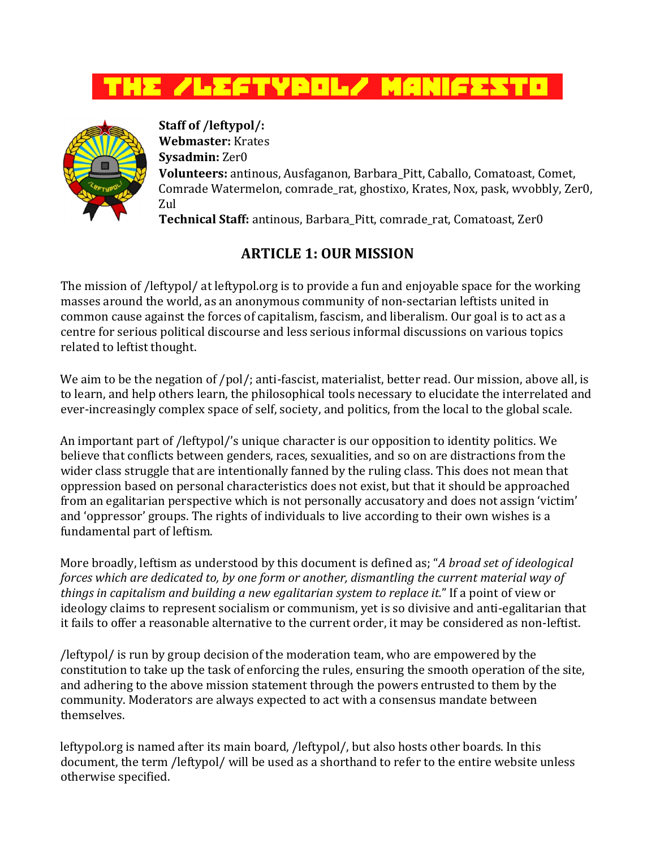



**Staff of /leftypol/: Webmaster:** Krates **Sysadmin:** Zer0 **Volunteers:** antinous, Ausfaganon, Barbara\_Pitt, Caballo, Comatoast, Comet, Comrade Watermelon, comrade rat, ghostixo, Krates, Nox, pask, wvobbly, Zer0, Zul

**Technical Staff:** antinous, Barbara\_Pitt, comrade\_rat, Comatoast, Zer0

## **ARTICLE 1: OUR MISSION**

The mission of /leftypol/ at leftypol.org is to provide a fun and enjoyable space for the working masses around the world, as an anonymous community of non-sectarian leftists united in common cause against the forces of capitalism, fascism, and liberalism. Our goal is to act as a centre for serious political discourse and less serious informal discussions on various topics related to leftist thought.

We aim to be the negation of /pol/; anti-fascist, materialist, better read. Our mission, above all, is to learn, and help others learn, the philosophical tools necessary to elucidate the interrelated and ever-increasingly complex space of self, society, and politics, from the local to the global scale.

An important part of /leftypol/'s unique character is our opposition to identity politics. We believe that conflicts between genders, races, sexualities, and so on are distractions from the wider class struggle that are intentionally fanned by the ruling class. This does not mean that oppression based on personal characteristics does not exist, but that it should be approached from an egalitarian perspective which is not personally accusatory and does not assign 'victim' and 'oppressor' groups. The rights of individuals to live according to their own wishes is a fundamental part of leftism.

More broadly, leftism as understood by this document is defined as; "*A broad set of ideological forces which are dedicated to, by one form or another, dismantling the current material way of things in capitalism and building a new egalitarian system to replace it.*" If a point of view or ideology claims to represent socialism or communism, yet is so divisive and anti-egalitarian that it fails to offer a reasonable alternative to the current order, it may be considered as non-leftist.

/leftypol/ is run by group decision of the moderation team, who are empowered by the constitution to take up the task of enforcing the rules, ensuring the smooth operation of the site, and adhering to the above mission statement through the powers entrusted to them by the community. Moderators are always expected to act with a consensus mandate between themselves.

leftypol.org is named after its main board, /leftypol/, but also hosts other boards. In this document, the term /leftypol/ will be used as a shorthand to refer to the entire website unless otherwise specified.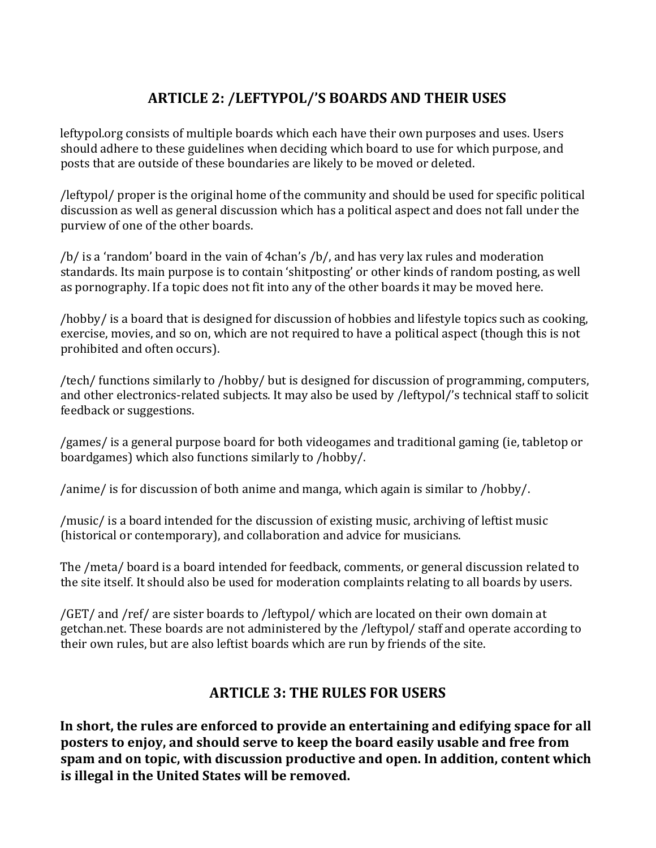## **ARTICLE 2: /LEFTYPOL/'S BOARDS AND THEIR USES**

leftypol.org consists of multiple boards which each have their own purposes and uses. Users should adhere to these guidelines when deciding which board to use for which purpose, and posts that are outside of these boundaries are likely to be moved or deleted.

/leftypol/ proper is the original home of the community and should be used for specific political discussion as well as general discussion which has a political aspect and does not fall under the purview of one of the other boards.

/b/ is a 'random' board in the vain of 4chan's /b/, and has very lax rules and moderation standards. Its main purpose is to contain 'shitposting' or other kinds of random posting, as well as pornography. If a topic does not fit into any of the other boards it may be moved here.

/hobby/ is a board that is designed for discussion of hobbies and lifestyle topics such as cooking, exercise, movies, and so on, which are not required to have a political aspect (though this is not prohibited and often occurs).

/tech/ functions similarly to /hobby/ but is designed for discussion of programming, computers, and other electronics-related subjects. It may also be used by /leftypol/'s technical staff to solicit feedback or suggestions.

/games/ is a general purpose board for both videogames and traditional gaming (ie, tabletop or boardgames) which also functions similarly to /hobby/.

/anime/ is for discussion of both anime and manga, which again is similar to /hobby/.

/music/ is a board intended for the discussion of existing music, archiving of leftist music (historical or contemporary), and collaboration and advice for musicians.

The /meta/ board is a board intended for feedback, comments, or general discussion related to the site itself. It should also be used for moderation complaints relating to all boards by users.

/GET/ and /ref/ are sister boards to /leftypol/ which are located on their own domain at getchan.net. These boards are not administered by the /leftypol/ staff and operate according to their own rules, but are also leftist boards which are run by friends of the site.

## **ARTICLE 3: THE RULES FOR USERS**

**In short, the rules are enforced to provide an entertaining and edifying space for all posters to enjoy, and should serve to keep the board easily usable and free from spam and on topic, with discussion productive and open. In addition, content which is illegal in the United States will be removed.**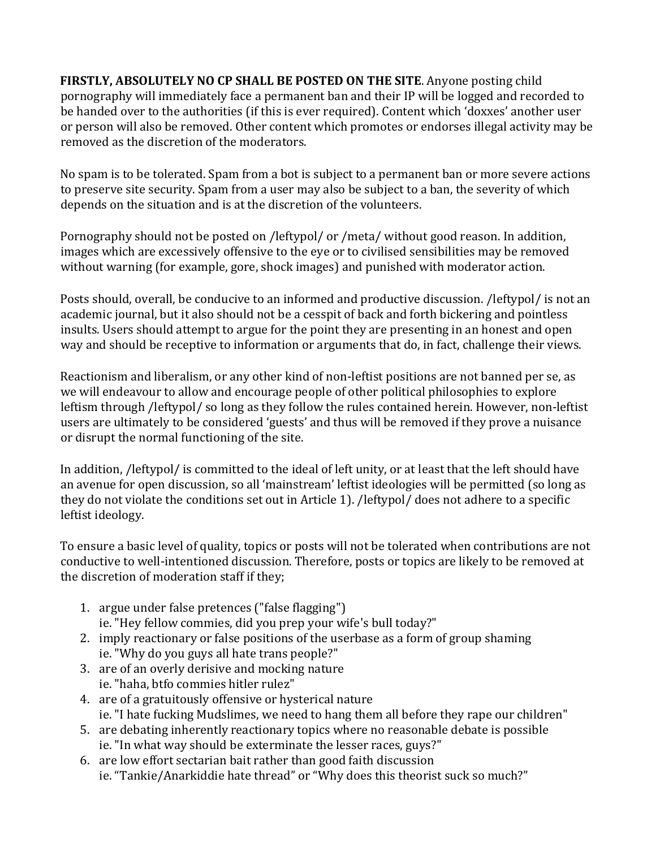**FIRSTLY, ABSOLUTELY NO CP SHALL BE POSTED ON THE SITE**. Anyone posting child pornography will immediately face a permanent ban and their IP will be logged and recorded to be handed over to the authorities (if this is ever required). Content which 'doxxes' another user or person will also be removed. Other content which promotes or endorses illegal activity may be removed as the discretion of the moderators.

No spam is to be tolerated. Spam from a bot is subject to a permanent ban or more severe actions to preserve site security. Spam from a user may also be subject to a ban, the severity of which depends on the situation and is at the discretion of the volunteers.

Pornography should not be posted on /leftypol/ or /meta/ without good reason. In addition, images which are excessively offensive to the eye or to civilised sensibilities may be removed without warning (for example, gore, shock images) and punished with moderator action.

Posts should, overall, be conducive to an informed and productive discussion. /leftypol/ is not an academic journal, but it also should not be a cesspit of back and forth bickering and pointless insults. Users should attempt to argue for the point they are presenting in an honest and open way and should be receptive to information or arguments that do, in fact, challenge their views.

Reactionism and liberalism, or any other kind of non-leftist positions are not banned per se, as we will endeavour to allow and encourage people of other political philosophies to explore leftism through /leftypol/ so long as they follow the rules contained herein. However, non-leftist users are ultimately to be considered 'guests' and thus will be removed if they prove a nuisance or disrupt the normal functioning of the site.

In addition, /leftypol/ is committed to the ideal of left unity, or at least that the left should have an avenue for open discussion, so all 'mainstream' leftist ideologies will be permitted (so long as they do not violate the conditions set out in Article 1). /leftypol/ does not adhere to a specific leftist ideology.

To ensure a basic level of quality, topics or posts will not be tolerated when contributions are not conductive to well-intentioned discussion. Therefore, posts or topics are likely to be removed at the discretion of moderation staff if they;

- 1. argue under false pretences ("false flagging") ie. "Hey fellow commies, did you prep your wife's bull today?"
- 2. imply reactionary or false positions of the userbase as a form of group shaming ie. "Why do you guys all hate trans people?"
- 3. are of an overly derisive and mocking nature ie. "haha, btfo commies hitler rulez"
- 4. are of a gratuitously offensive or hysterical nature ie. "I hate fucking Mudslimes, we need to hang them all before they rape our children"
- 5. are debating inherently reactionary topics where no reasonable debate is possible ie. "In what way should be exterminate the lesser races, guys?"
- 6. are low effort sectarian bait rather than good faith discussion ie. "Tankie/Anarkiddie hate thread" or "Why does this theorist suck so much?"